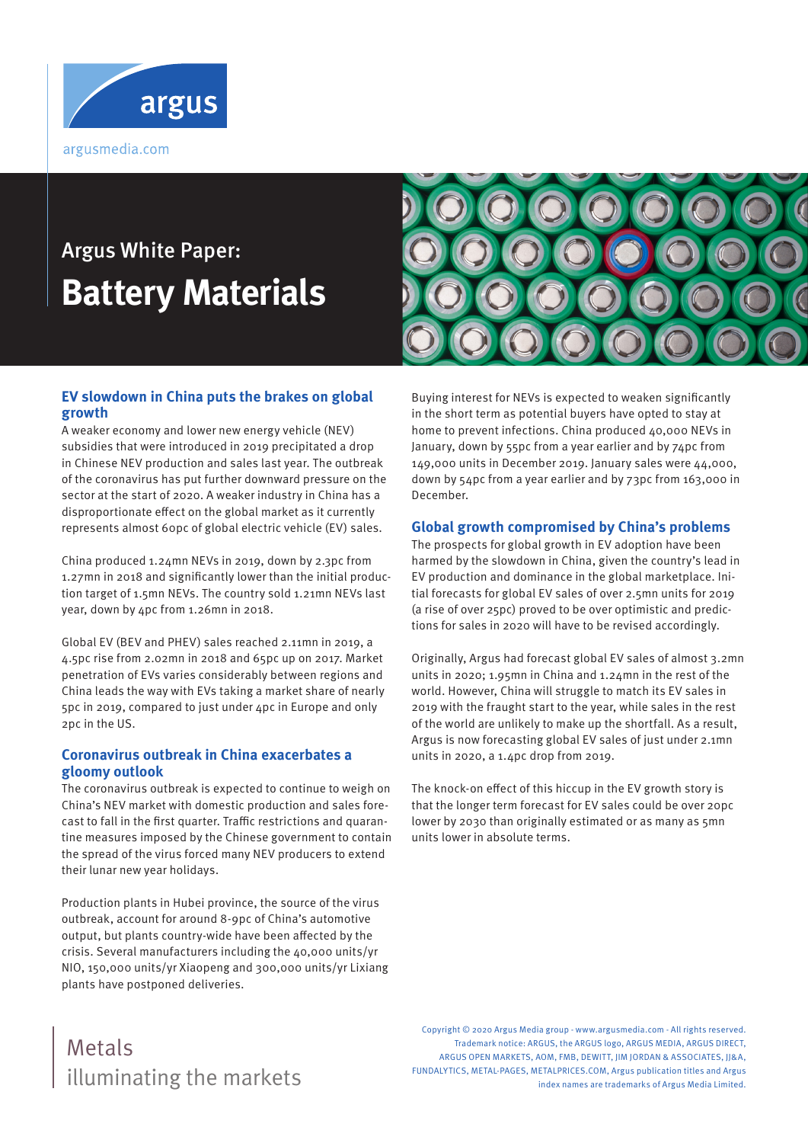

# Argus White Paper: **Battery Materials**



#### **EV slowdown in China puts the brakes on global growth**

A weaker economy and lower new energy vehicle (NEV) subsidies that were introduced in 2019 precipitated a drop in Chinese NEV production and sales last year. The outbreak of the coronavirus has put further downward pressure on the sector at the start of 2020. A weaker industry in China has a disproportionate effect on the global market as it currently represents almost 60pc of global electric vehicle (EV) sales.

China produced 1.24mn NEVs in 2019, down by 2.3pc from 1.27mn in 2018 and significantly lower than the initial production target of 1.5mn NEVs. The country sold 1.21mn NEVs last year, down by 4pc from 1.26mn in 2018.

Global EV (BEV and PHEV) sales reached 2.11mn in 2019, a 4.5pc rise from 2.02mn in 2018 and 65pc up on 2017. Market penetration of EVs varies considerably between regions and China leads the way with EVs taking a market share of nearly 5pc in 2019, compared to just under 4pc in Europe and only 2pc in the US.

#### **Coronavirus outbreak in China exacerbates a gloomy outlook**

The coronavirus outbreak is expected to continue to weigh on China's NEV market with domestic production and sales forecast to fall in the first quarter. Traffic restrictions and quarantine measures imposed by the Chinese government to contain the spread of the virus forced many NEV producers to extend their lunar new year holidays.

Production plants in Hubei province, the source of the virus outbreak, account for around 8-9pc of China's automotive output, but plants country-wide have been affected by the crisis. Several manufacturers including the 40,000 units/yr NIO, 150,000 units/yr Xiaopeng and 300,000 units/yr Lixiang plants have postponed deliveries.

Buying interest for NEVs is expected to weaken significantly in the short term as potential buyers have opted to stay at home to prevent infections. China produced 40,000 NEVs in January, down by 55pc from a year earlier and by 74pc from 149,000 units in December 2019. January sales were 44,000, down by 54pc from a year earlier and by 73pc from 163,000 in December.

#### **Global growth compromised by China's problems**

The prospects for global growth in EV adoption have been harmed by the slowdown in China, given the country's lead in EV production and dominance in the global marketplace. Initial forecasts for global EV sales of over 2.5mn units for 2019 (a rise of over 25pc) proved to be over optimistic and predictions for sales in 2020 will have to be revised accordingly.

Originally, Argus had forecast global EV sales of almost 3.2mn units in 2020; 1.95mn in China and 1.24mn in the rest of the world. However, China will struggle to match its EV sales in 2019 with the fraught start to the year, while sales in the rest of the world are unlikely to make up the shortfall. As a result, Argus is now forecasting global EV sales of just under 2.1mn units in 2020, a 1.4pc drop from 2019.

The knock-on effect of this hiccup in the EV growth story is that the longer term forecast for EV sales could be over 20pc lower by 2030 than originally estimated or as many as 5mn units lower in absolute terms.

## illuminating the markets Metals

Copyright © 2020 Argus Media group - www.argusmedia.com - All rights reserved. Trademark notice: ARGUS, the ARGUS logo, ARGUS MEDIA, ARGUS DIRECT, ARGUS OPEN MARKETS, AOM, FMB, DEWITT, JIM JORDAN & ASSOCIATES, JJ&A, FUNDALYTICS, METAL-PAGES, METALPRICES.COM, Argus publication titles and Argus index names are trademarks of Argus Media Limited.